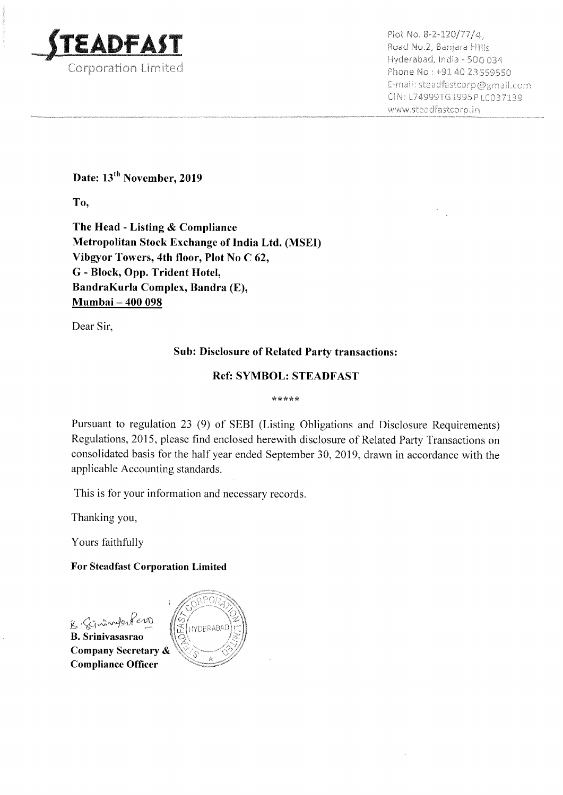

Plot No. 8-2-120/77/4. Road No.2, Barriara HIIIs Hyderabad, India - 500 034 Phone No: +91 40 23559550 E-mail: steadfastcorp@gmail.com CIN: L74999TG1995PLC037139 www.steadfastcorp.in

# Date: 13<sup>th</sup> November, 2019

To,

The Head - Listing & Compliance Metropolitan Stock Exchange of India Ltd. (MSEI) Vibgyor Towers, 4th floor, Plot No C 62, G - Block, Opp. Trident Hotel, BandraKurla Complex, Bandra (E), **Mumbai - 400 098** 

Dear Sir.

### **Sub: Disclosure of Related Party transactions:**

#### **Ref: SYMBOL: STEADFAST**

\*\*\*\*\*

Pursuant to regulation 23 (9) of SEBI (Listing Obligations and Disclosure Requirements) Regulations, 2015, please find enclosed herewith disclosure of Related Party Transactions on consolidated basis for the half year ended September 30, 2019, drawn in accordance with the applicable Accounting standards.

This is for your information and necessary records.

Thanking you,

Yours faithfully

#### **For Steadfast Corporation Limited**

B. Scannoforfero **B.** Srinivasasrao **Company Secretary & Compliance Officer**